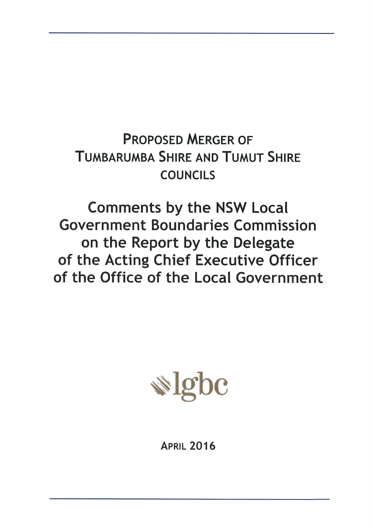# **PROPOSED MERGER OF TUMBARUMBA SHIRE AND TUMUT SHIRE COUNCILS**

**Comments by the NSW Local Government Boundaries Commission** on the Report by the Delegate of the Acting Chief Executive Officer of the Office of the Local Government



**APRIL 2016**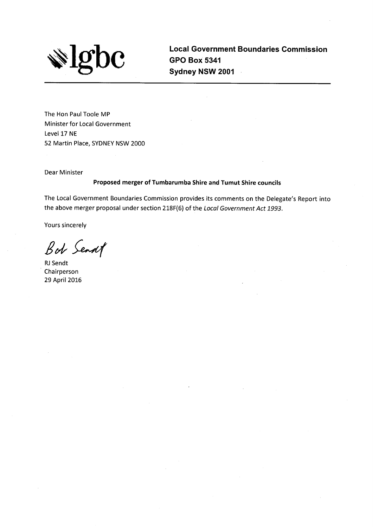

**Local Government Boundaries Commission GPO Box 5341** Sydney NSW 2001

The Hon Paul Toole MP Minister for Local Government Level 17 NE 52 Martin Place, SYDNEY NSW 2000

**Dear Minister** 

#### Proposed merger of Tumbarumba Shire and Tumut Shire councils

The Local Government Boundaries Commission provides its comments on the Delegate's Report into the above merger proposal under section 218F(6) of the Local Government Act 1993.

Yours sincerely

Bot Senat

RJ Sendt Chairperson 29 April 2016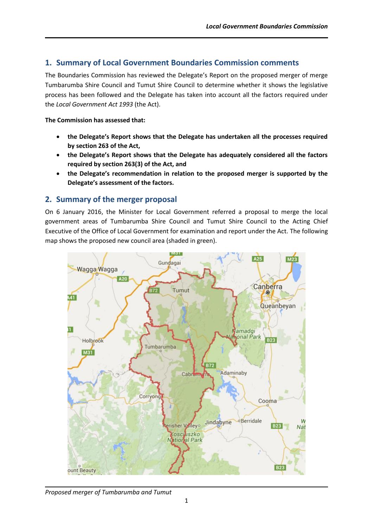# **1. Summary of Local Government Boundaries Commission comments**

The Boundaries Commission has reviewed the Delegate's Report on the proposed merger of merge Tumbarumba Shire Council and Tumut Shire Council to determine whether it shows the legislative process has been followed and the Delegate has taken into account all the factors required under the *Local Government Act 1993* (the Act).

#### **The Commission has assessed that:**

- **the Delegate's Report shows that the Delegate has undertaken all the processes required by section 263 of the Act,**
- **the Delegate's Report shows that the Delegate has adequately considered all the factors required by section 263(3) of the Act, and**
- **the Delegate's recommendation in relation to the proposed merger is supported by the Delegate's assessment of the factors.**

# **2. Summary of the merger proposal**

On 6 January 2016, the Minister for Local Government referred a proposal to merge the local government areas of Tumbarumba Shire Council and Tumut Shire Council to the Acting Chief Executive of the Office of Local Government for examination and report under the Act. The following map shows the proposed new council area (shaded in green).



*Proposed merger of Tumbarumba and Tumut*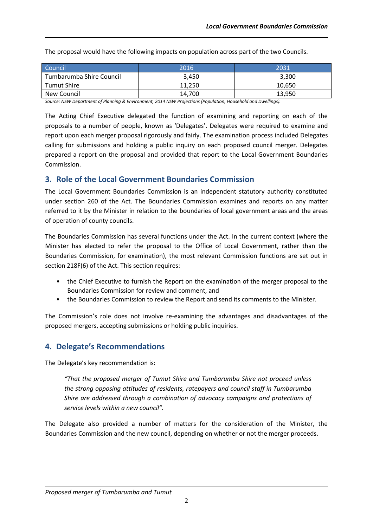| Council                  | 2016   | 2031   |
|--------------------------|--------|--------|
| Tumbarumba Shire Council | 3.450  | 3,300  |
| Tumut Shire              | 11.250 | 10.650 |
| New Council              | 14,700 | 13,950 |

The proposal would have the following impacts on population across part of the two Councils.

*Source: NSW Department of Planning & Environment, 2014 NSW Projections (Population, Household and Dwellings).*

The Acting Chief Executive delegated the function of examining and reporting on each of the proposals to a number of people, known as 'Delegates'. Delegates were required to examine and report upon each merger proposal rigorously and fairly. The examination process included Delegates calling for submissions and holding a public inquiry on each proposed council merger. Delegates prepared a report on the proposal and provided that report to the Local Government Boundaries Commission.

# **3. Role of the Local Government Boundaries Commission**

The Local Government Boundaries Commission is an independent statutory authority constituted under section 260 of the Act. The Boundaries Commission examines and reports on any matter referred to it by the Minister in relation to the boundaries of local government areas and the areas of operation of county councils.

The Boundaries Commission has several functions under the Act. In the current context (where the Minister has elected to refer the proposal to the Office of Local Government, rather than the Boundaries Commission, for examination), the most relevant Commission functions are set out in section 218F(6) of the Act. This section requires:

- the Chief Executive to furnish the Report on the examination of the merger proposal to the Boundaries Commission for review and comment, and
- the Boundaries Commission to review the Report and send its comments to the Minister.

The Commission's role does not involve re-examining the advantages and disadvantages of the proposed mergers, accepting submissions or holding public inquiries.

# **4. Delegate's Recommendations**

The Delegate's key recommendation is:

*"That the proposed merger of Tumut Shire and Tumbarumba Shire not proceed unless the strong opposing attitudes of residents, ratepayers and council staff in Tumbarumba Shire are addressed through a combination of advocacy campaigns and protections of service levels within a new council".*

The Delegate also provided a number of matters for the consideration of the Minister, the Boundaries Commission and the new council, depending on whether or not the merger proceeds.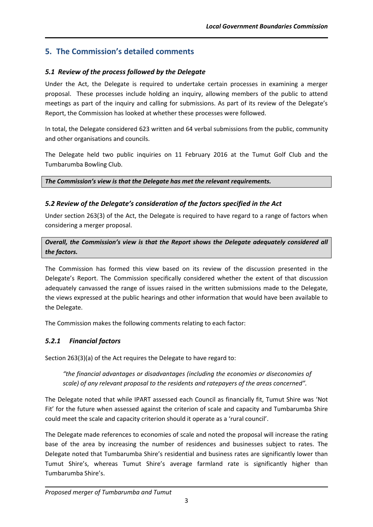# **5. The Commission's detailed comments**

# *5.1 Review of the process followed by the Delegate*

Under the Act, the Delegate is required to undertake certain processes in examining a merger proposal. These processes include holding an inquiry, allowing members of the public to attend meetings as part of the inquiry and calling for submissions. As part of its review of the Delegate's Report, the Commission has looked at whether these processes were followed.

In total, the Delegate considered 623 written and 64 verbal submissions from the public, community and other organisations and councils.

The Delegate held two public inquiries on 11 February 2016 at the Tumut Golf Club and the Tumbarumba Bowling Club.

*The Commission's view is that the Delegate has met the relevant requirements.*

# *5.2 Review of the Delegate's consideration of the factors specified in the Act*

Under section 263(3) of the Act, the Delegate is required to have regard to a range of factors when considering a merger proposal.

*Overall, the Commission's view is that the Report shows the Delegate adequately considered all the factors.*

The Commission has formed this view based on its review of the discussion presented in the Delegate's Report. The Commission specifically considered whether the extent of that discussion adequately canvassed the range of issues raised in the written submissions made to the Delegate, the views expressed at the public hearings and other information that would have been available to the Delegate.

The Commission makes the following comments relating to each factor:

# *5.2.1 Financial factors*

Section 263(3)(a) of the Act requires the Delegate to have regard to:

*"the financial advantages or disadvantages (including the economies or diseconomies of scale) of any relevant proposal to the residents and ratepayers of the areas concerned".*

The Delegate noted that while IPART assessed each Council as financially fit, Tumut Shire was 'Not Fit' for the future when assessed against the criterion of scale and capacity and Tumbarumba Shire could meet the scale and capacity criterion should it operate as a 'rural council'.

The Delegate made references to economies of scale and noted the proposal will increase the rating base of the area by increasing the number of residences and businesses subject to rates. The Delegate noted that Tumbarumba Shire's residential and business rates are significantly lower than Tumut Shire's, whereas Tumut Shire's average farmland rate is significantly higher than Tumbarumba Shire's.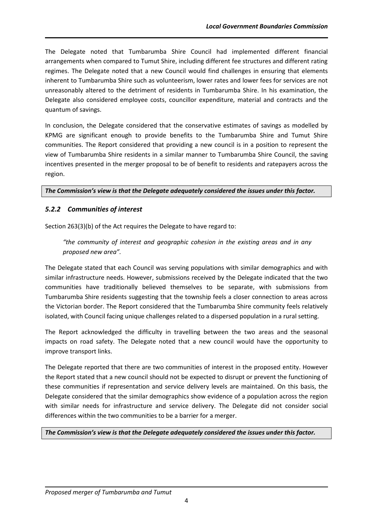The Delegate noted that Tumbarumba Shire Council had implemented different financial arrangements when compared to Tumut Shire, including different fee structures and different rating regimes. The Delegate noted that a new Council would find challenges in ensuring that elements inherent to Tumbarumba Shire such as volunteerism, lower rates and lower fees for services are not unreasonably altered to the detriment of residents in Tumbarumba Shire. In his examination, the Delegate also considered employee costs, councillor expenditure, material and contracts and the quantum of savings.

In conclusion, the Delegate considered that the conservative estimates of savings as modelled by KPMG are significant enough to provide benefits to the Tumbarumba Shire and Tumut Shire communities. The Report considered that providing a new council is in a position to represent the view of Tumbarumba Shire residents in a similar manner to Tumbarumba Shire Council, the saving incentives presented in the merger proposal to be of benefit to residents and ratepayers across the region.

#### *The Commission's view is that the Delegate adequately considered the issues under this factor.*

## *5.2.2 Communities of interest*

Section 263(3)(b) of the Act requires the Delegate to have regard to:

*"the community of interest and geographic cohesion in the existing areas and in any proposed new area".*

The Delegate stated that each Council was serving populations with similar demographics and with similar infrastructure needs. However, submissions received by the Delegate indicated that the two communities have traditionally believed themselves to be separate, with submissions from Tumbarumba Shire residents suggesting that the township feels a closer connection to areas across the Victorian border. The Report considered that the Tumbarumba Shire community feels relatively isolated, with Council facing unique challenges related to a dispersed population in a rural setting.

The Report acknowledged the difficulty in travelling between the two areas and the seasonal impacts on road safety. The Delegate noted that a new council would have the opportunity to improve transport links.

The Delegate reported that there are two communities of interest in the proposed entity. However the Report stated that a new council should not be expected to disrupt or prevent the functioning of these communities if representation and service delivery levels are maintained. On this basis, the Delegate considered that the similar demographics show evidence of a population across the region with similar needs for infrastructure and service delivery. The Delegate did not consider social differences within the two communities to be a barrier for a merger.

*The Commission's view is that the Delegate adequately considered the issues under this factor.*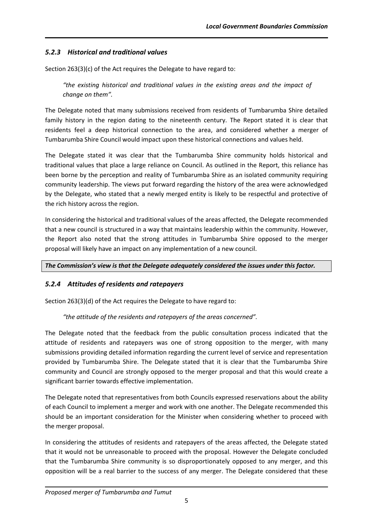## *5.2.3 Historical and traditional values*

Section 263(3)(c) of the Act requires the Delegate to have regard to:

*"the existing historical and traditional values in the existing areas and the impact of change on them".*

The Delegate noted that many submissions received from residents of Tumbarumba Shire detailed family history in the region dating to the nineteenth century. The Report stated it is clear that residents feel a deep historical connection to the area, and considered whether a merger of Tumbarumba Shire Council would impact upon these historical connections and values held.

The Delegate stated it was clear that the Tumbarumba Shire community holds historical and traditional values that place a large reliance on Council. As outlined in the Report, this reliance has been borne by the perception and reality of Tumbarumba Shire as an isolated community requiring community leadership. The views put forward regarding the history of the area were acknowledged by the Delegate, who stated that a newly merged entity is likely to be respectful and protective of the rich history across the region.

In considering the historical and traditional values of the areas affected, the Delegate recommended that a new council is structured in a way that maintains leadership within the community. However, the Report also noted that the strong attitudes in Tumbarumba Shire opposed to the merger proposal will likely have an impact on any implementation of a new council.

*The Commission's view is that the Delegate adequately considered the issues under this factor.*

## *5.2.4 Attitudes of residents and ratepayers*

Section 263(3)(d) of the Act requires the Delegate to have regard to:

*"the attitude of the residents and ratepayers of the areas concerned".*

The Delegate noted that the feedback from the public consultation process indicated that the attitude of residents and ratepayers was one of strong opposition to the merger, with many submissions providing detailed information regarding the current level of service and representation provided by Tumbarumba Shire. The Delegate stated that it is clear that the Tumbarumba Shire community and Council are strongly opposed to the merger proposal and that this would create a significant barrier towards effective implementation.

The Delegate noted that representatives from both Councils expressed reservations about the ability of each Council to implement a merger and work with one another. The Delegate recommended this should be an important consideration for the Minister when considering whether to proceed with the merger proposal.

In considering the attitudes of residents and ratepayers of the areas affected, the Delegate stated that it would not be unreasonable to proceed with the proposal. However the Delegate concluded that the Tumbarumba Shire community is so disproportionately opposed to any merger, and this opposition will be a real barrier to the success of any merger. The Delegate considered that these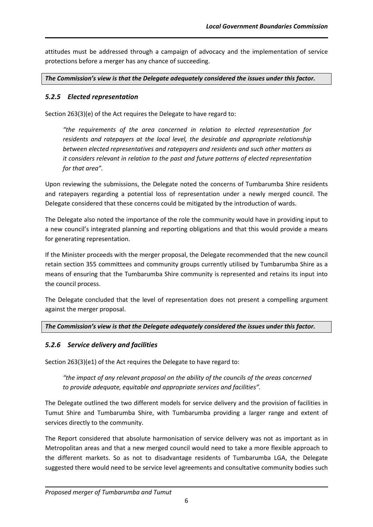attitudes must be addressed through a campaign of advocacy and the implementation of service protections before a merger has any chance of succeeding.

*The Commission's view is that the Delegate adequately considered the issues under this factor.*

## *5.2.5 Elected representation*

Section 263(3)(e) of the Act requires the Delegate to have regard to:

*"the requirements of the area concerned in relation to elected representation for residents and ratepayers at the local level, the desirable and appropriate relationship between elected representatives and ratepayers and residents and such other matters as it considers relevant in relation to the past and future patterns of elected representation for that area".*

Upon reviewing the submissions, the Delegate noted the concerns of Tumbarumba Shire residents and ratepayers regarding a potential loss of representation under a newly merged council. The Delegate considered that these concerns could be mitigated by the introduction of wards.

The Delegate also noted the importance of the role the community would have in providing input to a new council's integrated planning and reporting obligations and that this would provide a means for generating representation.

If the Minister proceeds with the merger proposal, the Delegate recommended that the new council retain section 355 committees and community groups currently utilised by Tumbarumba Shire as a means of ensuring that the Tumbarumba Shire community is represented and retains its input into the council process.

The Delegate concluded that the level of representation does not present a compelling argument against the merger proposal.

## *The Commission's view is that the Delegate adequately considered the issues under this factor.*

## *5.2.6 Service delivery and facilities*

Section 263(3)(e1) of the Act requires the Delegate to have regard to:

*"the impact of any relevant proposal on the ability of the councils of the areas concerned to provide adequate, equitable and appropriate services and facilities".*

The Delegate outlined the two different models for service delivery and the provision of facilities in Tumut Shire and Tumbarumba Shire, with Tumbarumba providing a larger range and extent of services directly to the community.

The Report considered that absolute harmonisation of service delivery was not as important as in Metropolitan areas and that a new merged council would need to take a more flexible approach to the different markets. So as not to disadvantage residents of Tumbarumba LGA, the Delegate suggested there would need to be service level agreements and consultative community bodies such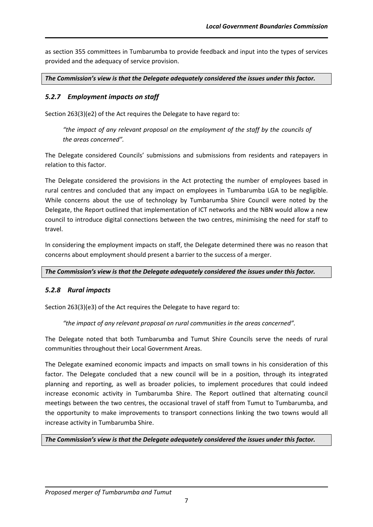as section 355 committees in Tumbarumba to provide feedback and input into the types of services provided and the adequacy of service provision.

*The Commission's view is that the Delegate adequately considered the issues under this factor.*

#### *5.2.7 Employment impacts on staff*

Section 263(3)(e2) of the Act requires the Delegate to have regard to:

*"the impact of any relevant proposal on the employment of the staff by the councils of the areas concerned".*

The Delegate considered Councils' submissions and submissions from residents and ratepayers in relation to this factor.

The Delegate considered the provisions in the Act protecting the number of employees based in rural centres and concluded that any impact on employees in Tumbarumba LGA to be negligible. While concerns about the use of technology by Tumbarumba Shire Council were noted by the Delegate, the Report outlined that implementation of ICT networks and the NBN would allow a new council to introduce digital connections between the two centres, minimising the need for staff to travel.

In considering the employment impacts on staff, the Delegate determined there was no reason that concerns about employment should present a barrier to the success of a merger.

*The Commission's view is that the Delegate adequately considered the issues under this factor.*

#### *5.2.8 Rural impacts*

Section 263(3)(e3) of the Act requires the Delegate to have regard to:

*"the impact of any relevant proposal on rural communities in the areas concerned".*

The Delegate noted that both Tumbarumba and Tumut Shire Councils serve the needs of rural communities throughout their Local Government Areas.

The Delegate examined economic impacts and impacts on small towns in his consideration of this factor. The Delegate concluded that a new council will be in a position, through its integrated planning and reporting, as well as broader policies, to implement procedures that could indeed increase economic activity in Tumbarumba Shire. The Report outlined that alternating council meetings between the two centres, the occasional travel of staff from Tumut to Tumbarumba, and the opportunity to make improvements to transport connections linking the two towns would all increase activity in Tumbarumba Shire.

*The Commission's view is that the Delegate adequately considered the issues under this factor.*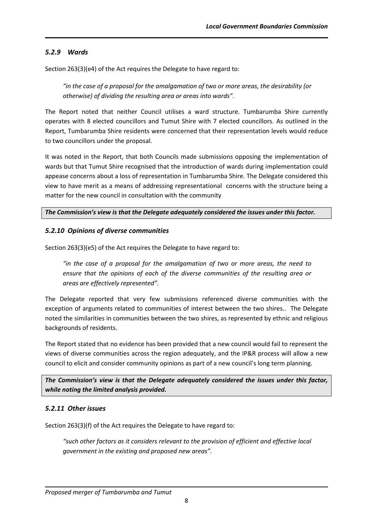#### *5.2.9 Wards*

Section 263(3)(e4) of the Act requires the Delegate to have regard to:

*"in the case of a proposal for the amalgamation of two or more areas, the desirability (or otherwise) of dividing the resulting area or areas into wards".*

The Report noted that neither Council utilises a ward structure. Tumbarumba Shire currently operates with 8 elected councillors and Tumut Shire with 7 elected councillors. As outlined in the Report, Tumbarumba Shire residents were concerned that their representation levels would reduce to two councillors under the proposal.

It was noted in the Report, that both Councils made submissions opposing the implementation of wards but that Tumut Shire recognised that the introduction of wards during implementation could appease concerns about a loss of representation in Tumbarumba Shire. The Delegate considered this view to have merit as a means of addressing representational concerns with the structure being a matter for the new council in consultation with the community

#### *The Commission's view is that the Delegate adequately considered the issues under this factor.*

#### *5.2.10 Opinions of diverse communities*

Section 263(3)(e5) of the Act requires the Delegate to have regard to:

*"in the case of a proposal for the amalgamation of two or more areas, the need to ensure that the opinions of each of the diverse communities of the resulting area or areas are effectively represented".*

The Delegate reported that very few submissions referenced diverse communities with the exception of arguments related to communities of interest between the two shires.. The Delegate noted the similarities in communities between the two shires, as represented by ethnic and religious backgrounds of residents.

The Report stated that no evidence has been provided that a new council would fail to represent the views of diverse communities across the region adequately, and the IP&R process will allow a new council to elicit and consider community opinions as part of a new council's long term planning.

*The Commission's view is that the Delegate adequately considered the issues under this factor, while noting the limited analysis provided.*

#### *5.2.11 Other issues*

Section 263(3)(f) of the Act requires the Delegate to have regard to:

*"such other factors as it considers relevant to the provision of efficient and effective local government in the existing and proposed new areas".*